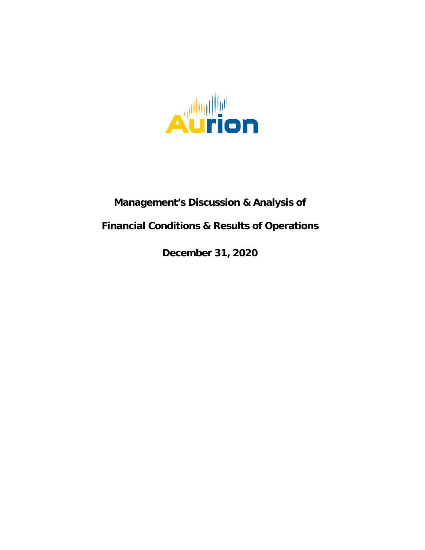

# **Management's Discussion & Analysis of**

# **Financial Conditions & Results of Operations**

**December 31, 2020**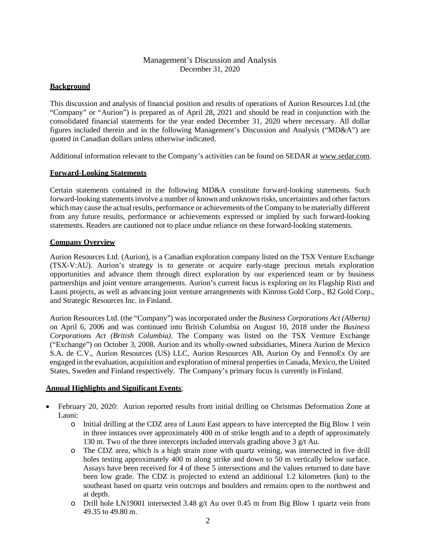# Management's Discussion and Analysis December 31, 2020

# **Background**

This discussion and analysis of financial position and results of operations of Aurion Resources Ltd.(the "Company" or "Aurion") is prepared as of April 28, 2021 and should be read in conjunction with the consolidated financial statements for the year ended December 31, 2020 where necessary. All dollar figures included therein and in the following Management's Discussion and Analysis ("MD&A") are quoted in Canadian dollars unless otherwise indicated.

Additional information relevant to the Company's activities can be found on SEDAR at [www.sedar.com.](http://www.sedar.com/)

# **Forward-Looking Statements**

Certain statements contained in the following MD&A constitute forward-looking statements. Such forward-looking statements involve a number of known and unknown risks, uncertainties and other factors which may cause the actual results, performance or achievements of the Company to be materially different from any future results, performance or achievements expressed or implied by such forward-looking statements. Readers are cautioned not to place undue reliance on these forward-looking statements.

# **Company Overview**

Aurion Resources Ltd. (Aurion), is a Canadian exploration company listed on the TSX Venture Exchange (TSX-V:AU). Aurion's strategy is to generate or acquire early-stage precious metals exploration opportunities and advance them through direct exploration by our experienced team or by business partnerships and joint venture arrangements. Aurion's current focus is exploring on its Flagship Risti and Launi projects, as well as advancing joint venture arrangements with Kinross Gold Corp., B2 Gold Corp., and Strategic Resources Inc. in Finland.

Aurion Resources Ltd. (the "Company") was incorporated under the *Business Corporations Act (Alberta)*  on April 6, 2006 and was continued into British Columbia on August 10, 2018 under the *Business Corporations Act (British Columbia)*. The Company was listed on the TSX Venture Exchange ("Exchange") on October 3, 2008. Aurion and its wholly-owned subsidiaries, Minera Aurion de Mexico S.A. de C.V., Aurion Resources (US) LLC, Aurion Resources AB, Aurion Oy and FennoEx Oy are engaged in the evaluation, acquisition and exploration of mineral properties in Canada, Mexico, the United States, Sweden and Finland respectively. The Company's primary focus is currently inFinland.

# **Annual Highlights and Significant Events**;

- February 20, 2020: Aurion reported results from initial drilling on Christmas Deformation Zone at Launi:
	- o Initial drilling at the CDZ area of Launi East appears to have intercepted the Big Blow 1 vein in three instances over approximately 400 m of strike length and to a depth of approximately 130 m. Two of the three intercepts included intervals grading above 3 g/t Au.
	- o The CDZ area, which is a high strain zone with quartz veining, was intersected in five drill holes testing approximately 400 m along strike and down to 50 m vertically below surface. Assays have been received for 4 of these 5 intersections and the values returned to date have been low grade. The CDZ is projected to extend an additional 1.2 kilometres (km) to the southeast based on quartz vein outcrops and boulders and remains open to the northwest and at depth.
	- $\circ$  Drill hole LN19001 intersected 3.48 g/t Au over 0.45 m from Big Blow 1 quartz vein from 49.35 to 49.80 m.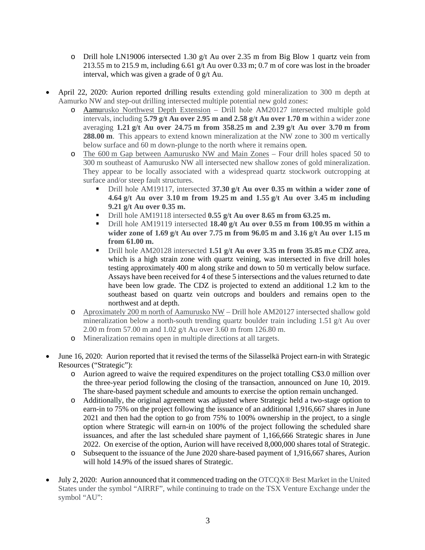- $\circ$  Drill hole LN19006 intersected 1.30 g/t Au over 2.35 m from Big Blow 1 quartz vein from 213.55 m to 215.9 m, including 6.61 g/t Au over 0.33 m; 0.7 m of core was lost in the broader interval, which was given a grade of 0 g/t Au.
- April 22, 2020: Aurion reported drilling results extending gold mineralization to 300 m depth at Aamurko NW and step-out drilling intersected multiple potential new gold zones:
	- o Aamurusko Northwest Depth Extension Drill hole AM20127 intersected multiple gold intervals, including **5.79 g/t Au over 2.95 m and 2.58 g/t Au over 1.70 m** within a wider zone averaging **1.21 g/t Au over 24.75 m from 358.25 m and 2.39 g/t Au over 3.70 m from 288.00 m**. This appears to extend known mineralization at the NW zone to 300 m vertically below surface and 60 m down-plunge to the north where it remains open.
	- o The 600 m Gap between Aamurusko NW and Main Zones Four drill holes spaced 50 to 300 m southeast of Aamurusko NW all intersected new shallow zones of gold mineralization. They appear to be locally associated with a widespread quartz stockwork outcropping at surface and/or steep fault structures.
		- Drill hole AM19117, intersected **37.30 g/t Au over 0.35 m within a wider zone of 4.64 g/t Au over 3.10 m from 19.25 m and 1.55 g/t Au over 3.45 m including 9.21 g/t Au over 0.35 m.**
		- Drill hole AM19118 intersected **0.55 g/t Au over 8.65 m from 63.25 m.**
		- Drill hole AM19119 intersected **18.40 g/t Au over 0.55 m from 100.95 m within a wider zone of 1.69 g/t Au over 7.75 m from 96.05 m and 3.16 g/t Au over 1.15 m from 61.00 m.**
		- Drill hole AM20128 intersected **1.51 g/t Au over 3.35 m from 35.85 m.**e CDZ area, which is a high strain zone with quartz veining, was intersected in five drill holes testing approximately 400 m along strike and down to 50 m vertically below surface. Assays have been received for 4 of these 5 intersections and the values returned to date have been low grade. The CDZ is projected to extend an additional 1.2 km to the southeast based on quartz vein outcrops and boulders and remains open to the northwest and at depth.
	- o Aproximately 200 m north of Aamurusko NW Drill hole AM20127 intersected shallow gold mineralization below a north-south trending quartz boulder train including 1.51 g/t Au over 2.00 m from 57.00 m and 1.02 g/t Au over 3.60 m from 126.80 m.
	- o Mineralization remains open in multiple directions at all targets.
- June 16, 2020: Aurion reported that it revised the terms of the Silasselkä Project earn-in with Strategic Resources ("Strategic"):
	- o Aurion agreed to waive the required expenditures on the project totalling C\$3.0 million over the three-year period following the closing of the transaction, announced on June 10, 2019. The share-based payment schedule and amounts to exercise the option remain unchanged.
	- o Additionally, the original agreement was adjusted where Strategic held a two-stage option to earn-in to 75% on the project following the issuance of an additional 1,916,667 shares in June 2021 and then had the option to go from 75% to 100% ownership in the project, to a single option where Strategic will earn-in on 100% of the project following the scheduled share issuances, and after the last scheduled share payment of 1,166,666 Strategic shares in June 2022. On exercise of the option, Aurion will have received 8,000,000 shares total of Strategic.
	- o Subsequent to the issuance of the June 2020 share-based payment of 1,916,667 shares, Aurion will hold 14.9% of the issued shares of Strategic.
- July 2, 2020: Aurion announced that it commenced trading on the OTCQX® Best Market in the United States under the symbol "AIRRF", while continuing to trade on the TSX Venture Exchange under the symbol "AU":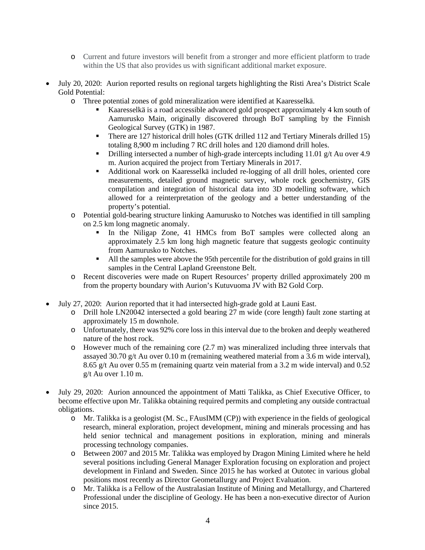- o Current and future investors will benefit from a stronger and more efficient platform to trade within the US that also provides us with significant additional market exposure.
- July 20, 2020: Aurion reported results on regional targets highlighting the Risti Area's District Scale Gold Potential:
	- o Three potential zones of gold mineralization were identified at Kaaresselkä.
		- Kaaresselkä is a road accessible advanced gold prospect approximately 4 km south of Aamurusko Main, originally discovered through BoT sampling by the Finnish Geological Survey (GTK) in 1987.
		- There are 127 historical drill holes (GTK drilled 112 and Tertiary Minerals drilled 15) totaling 8,900 m including 7 RC drill holes and 120 diamond drill holes.
		- Drilling intersected a number of high-grade intercepts including 11.01  $g/t$  Au over 4.9 m. Aurion acquired the project from Tertiary Minerals in 2017.
		- Additional work on Kaaresselkä included re-logging of all drill holes, oriented core measurements, detailed ground magnetic survey, whole rock geochemistry, GIS compilation and integration of historical data into 3D modelling software, which allowed for a reinterpretation of the geology and a better understanding of the property's potential.
	- o Potential gold-bearing structure linking Aamurusko to Notches was identified in till sampling on 2.5 km long magnetic anomaly.
		- In the Niligap Zone, 41 HMCs from BoT samples were collected along an approximately 2.5 km long high magnetic feature that suggests geologic continuity from Aamurusko to Notches.
		- All the samples were above the 95th percentile for the distribution of gold grains in till samples in the Central Lapland Greenstone Belt.
	- o Recent discoveries were made on Rupert Resources' property drilled approximately 200 m from the property boundary with Aurion's Kutuvuoma JV with B2 Gold Corp.
- July 27, 2020: Aurion reported that it had intersected high-grade gold at Launi East.
	- o Drill hole LN20042 intersected a gold bearing 27 m wide (core length) fault zone starting at approximately 15 m downhole.
	- o Unfortunately, there was 92% core loss in this interval due to the broken and deeply weathered nature of the host rock.
	- o However much of the remaining core (2.7 m) was mineralized including three intervals that assayed 30.70 g/t Au over 0.10 m (remaining weathered material from a 3.6 m wide interval), 8.65 g/t Au over 0.55 m (remaining quartz vein material from a 3.2 m wide interval) and 0.52 g/t Au over 1.10 m.
- July 29, 2020: Aurion announced the appointment of Matti Talikka, as Chief Executive Officer, to become effective upon Mr. Talikka obtaining required permits and completing any outside contractual obligations.
	- o Mr. Talikka is a geologist (M. Sc., FAusIMM (CP)) with experience in the fields of geological research, mineral exploration, project development, mining and minerals processing and has held senior technical and management positions in exploration, mining and minerals processing technology companies.
	- o Between 2007 and 2015 Mr. Talikka was employed by Dragon Mining Limited where he held several positions including General Manager Exploration focusing on exploration and project development in Finland and Sweden. Since 2015 he has worked at Outotec in various global positions most recently as Director Geometallurgy and Project Evaluation.
	- o Mr. Talikka is a Fellow of the Australasian Institute of Mining and Metallurgy, and Chartered Professional under the discipline of Geology. He has been a non-executive director of Aurion since 2015.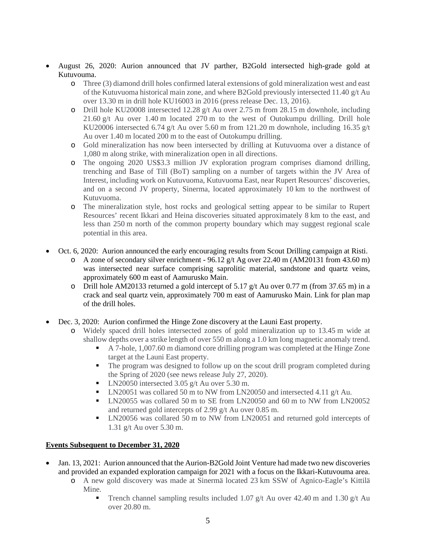- August 26, 2020: Aurion announced that JV parther, B2Gold intersected high-grade gold at Kutuvouma.
	- o Three (3) diamond drill holes confirmed lateral extensions of gold mineralization west and east of the Kutuvuoma historical main zone, and where B2Gold previously intersected 11.40 g/t Au over 13.30 m in drill hole KU16003 in 2016 (press release Dec. 13, 2016).
	- o Drill hole KU20008 intersected 12.28  $g/t$  Au over 2.75 m from 28.15 m downhole, including 21.60 g/t Au over 1.40 m located 270 m to the west of Outokumpu drilling. Drill hole KU20006 intersected 6.74 g/t Au over 5.60 m from 121.20 m downhole, including 16.35 g/t Au over 1.40 m located 200 m to the east of Outokumpu drilling.
	- o Gold mineralization has now been intersected by drilling at Kutuvuoma over a distance of 1,080 m along strike, with mineralization open in all directions.
	- o The ongoing 2020 US\$3.3 million JV exploration program comprises diamond drilling, trenching and Base of Till (BoT) sampling on a number of targets within the JV Area of Interest, including work on Kutuvuoma, Kutuvuoma East, near Rupert Resources' discoveries, and on a second JV property, Sinerma, located approximately 10 km to the northwest of Kutuvuoma.
	- o The mineralization style, host rocks and geological setting appear to be similar to Rupert Resources' recent Ikkari and Heina discoveries situated approximately 8 km to the east, and less than 250 m north of the common property boundary which may suggest regional scale potential in this area.
- Oct. 6, 2020: Aurion announced the early encouraging results from Scout Drilling campaign at Risti.
	- $\circ$  A zone of secondary silver enrichment 96.12 g/t Ag over 22.40 m (AM20131 from 43.60 m) was intersected near surface comprising saprolitic material, sandstone and quartz veins, approximately 600 m east of Aamurusko Main.
	- o Drill hole AM20133 returned a gold intercept of 5.17 g/t Au over 0.77 m (from 37.65 m) in a crack and seal quartz vein, approximately 700 m east of Aamurusko Main. Link for plan map of the drill holes.
- Dec. 3, 2020: Aurion confirmed the Hinge Zone discovery at the Launi East property.
	- o Widely spaced drill holes intersected zones of gold mineralization up to 13.45 m wide at shallow depths over a strike length of over 550 m along a 1.0 km long magnetic anomaly trend.
		- A 7-hole, 1,007.60 m diamond core drilling program was completed at the Hinge Zone target at the Launi East property.
		- The program was designed to follow up on the scout drill program completed during the Spring of 2020 (see news release July 27, 2020).
		- $\blacksquare$  LN20050 intersected 3.05 g/t Au over 5.30 m.
		- **LN20051** was collared 50 m to NW from LN20050 and intersected 4.11 g/t Au.
		- LN20055 was collared 50 m to SE from LN20050 and 60 m to NW from LN20052 and returned gold intercepts of 2.99 g/t Au over 0.85 m.
		- LN20056 was collared 50 m to NW from LN20051 and returned gold intercepts of 1.31 g/t Au over 5.30 m.

# **Events Subsequent to December 31, 2020**

- Jan. 13, 2021: Aurion announced that the Aurion-B2Gold Joint Venture had made two new discoveries and provided an expanded exploration campaign for 2021 with a focus on the Ikkari-Kutuvouma area.
	- o A new gold discovery was made at Sinermä located 23 km SSW of Agnico-Eagle's Kittilä Mine.
		- Trench channel sampling results included 1.07  $g/t$  Au over 42.40 m and 1.30  $g/t$  Au over 20.80 m.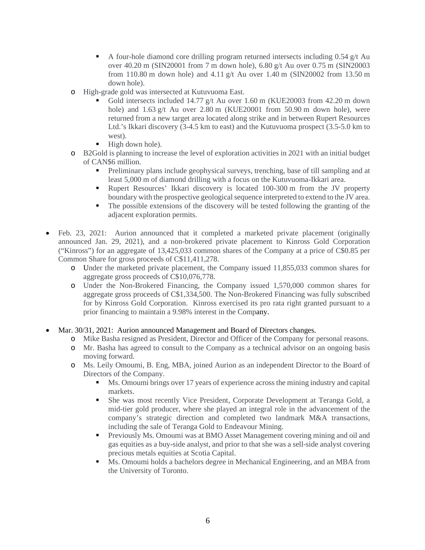- A four-hole diamond core drilling program returned intersects including 0.54 g/t Au over 40.20 m (SIN20001 from 7 m down hole), 6.80 g/t Au over 0.75 m (SIN20003 from 110.80 m down hole) and 4.11 g/t Au over 1.40 m (SIN20002 from 13.50 m down hole).
- o High-grade gold was intersected at Kutuvuoma East.
	- Gold intersects included 14.77 g/t Au over 1.60 m (KUE20003 from 42.20 m down hole) and  $1.63$  g/t Au over  $2.80$  m (KUE20001 from  $50.90$  m down hole), were returned from a new target area located along strike and in between Rupert Resources Ltd.'s Ikkari discovery (3-4.5 km to east) and the Kutuvuoma prospect (3.5-5.0 km to west).
	- High down hole).
- o B2Gold is planning to increase the level of exploration activities in 2021 with an initial budget of CAN\$6 million.
	- Preliminary plans include geophysical surveys, trenching, base of till sampling and at least 5,000 m of diamond drilling with a focus on the Kutuvuoma-Ikkari area.
	- Rupert Resources' Ikkari discovery is located 100-300 m from the JV property boundary with the prospective geological sequence interpreted to extend to the JV area.
	- The possible extensions of the discovery will be tested following the granting of the adjacent exploration permits.
- Feb. 23, 2021: Aurion announced that it completed a marketed private placement (originally announced Jan. 29, 2021), and a non-brokered private placement to Kinross Gold Corporation ("Kinross") for an aggregate of 13,425,033 common shares of the Company at a price of C\$0.85 per Common Share for gross proceeds of C\$11,411,278.
	- o Under the marketed private placement, the Company issued 11,855,033 common shares for aggregate gross proceeds of C\$10,076,778.
	- o Under the Non-Brokered Financing, the Company issued 1,570,000 common shares for aggregate gross proceeds of C\$1,334,500. The Non-Brokered Financing was fully subscribed for by Kinross Gold Corporation. Kinross exercised its pro rata right granted pursuant to a prior financing to maintain a 9.98% interest in the Company.
- Mar. 30/31, 2021: Aurion announced Management and Board of Directors changes.
	- o Mike Basha resigned as President, Director and Officer of the Company for personal reasons.
	- o Mr. Basha has agreed to consult to the Company as a technical advisor on an ongoing basis moving forward.
	- o Ms. Leily Omoumi, B. Eng, MBA, joined Aurion as an independent Director to the Board of Directors of the Company.
		- Ms. Omoumi brings over 17 years of experience across the mining industry and capital markets.
		- She was most recently Vice President, Corporate Development at Teranga Gold, a mid-tier gold producer, where she played an integral role in the advancement of the company's strategic direction and completed two landmark M&A transactions, including the sale of Teranga Gold to Endeavour Mining.
		- Previously Ms. Omoumi was at BMO Asset Management covering mining and oil and gas equities as a buy-side analyst, and prior to that she was a sell-side analyst covering precious metals equities at Scotia Capital.
		- Ms. Omoumi holds a bachelors degree in Mechanical Engineering, and an MBA from the University of Toronto.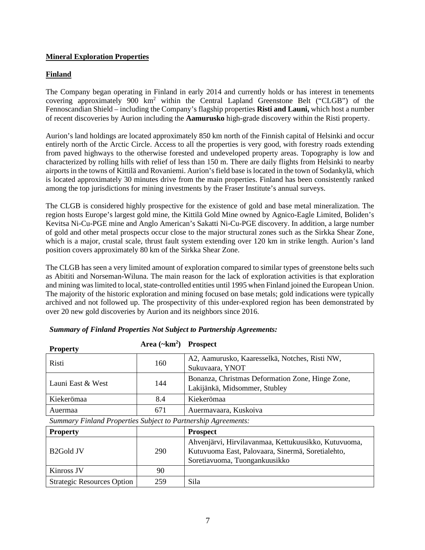# **Mineral Exploration Properties**

# **Finland**

The Company began operating in Finland in early 2014 and currently holds or has interest in tenements covering approximately 900 km2 within the Central Lapland Greenstone Belt ("CLGB") of the Fennoscandian Shield – including the Company's flagship properties **Risti and Launi,** which host a number of recent discoveries by Aurion including the **Aamurusko** high-grade discovery within the Risti property.

Aurion's land holdings are located approximately 850 km north of the Finnish capital of Helsinki and occur entirely north of the Arctic Circle. Access to all the properties is very good, with forestry roads extending from paved highways to the otherwise forested and undeveloped property areas. Topography is low and characterized by rolling hills with relief of less than 150 m. There are daily flights from Helsinki to nearby airports in the towns of Kittilä and Rovaniemi. Aurion's field base islocated in the town of Sodankylä, which is located approximately 30 minutes drive from the main properties. Finland has been consistently ranked among the top jurisdictions for mining investments by the Fraser Institute's annual surveys.

The CLGB is considered highly prospective for the existence of gold and base metal mineralization. The region hosts Europe's largest gold mine, the Kittilä Gold Mine owned by Agnico-Eagle Limited, Boliden's Kevitsa Ni-Cu-PGE mine and Anglo American's Sakatti Ni-Cu-PGE discovery. In addition, a large number of gold and other metal prospects occur close to the major structural zones such as the Sirkka Shear Zone, which is a major, crustal scale, thrust fault system extending over 120 km in strike length. Aurion's land position covers approximately 80 km of the Sirkka Shear Zone.

The CLGB has seen a very limited amount of exploration compared to similar types of greenstone belts such as Abititi and Norseman-Wiluna. The main reason for the lack of exploration activities is that exploration and mining was limited to local, state-controlled entities until 1995 when Finland joined the European Union. The majority of the historic exploration and mining focused on base metals; gold indications were typically archived and not followed up. The prospectivity of this under-explored region has been demonstrated by over 20 new gold discoveries by Aurion and its neighbors since 2016.

| <b>Property</b>                                 | Area $(\sim km^2)$ Prospect |                                                                                   |
|-------------------------------------------------|-----------------------------|-----------------------------------------------------------------------------------|
| Risti                                           | 160                         | A2, Aamurusko, Kaaresselkä, Notches, Risti NW,<br>Sukuvaara, YNOT                 |
| Launi East & West                               | 144                         | Bonanza, Christmas Deformation Zone, Hinge Zone,<br>Lakijänkä, Midsommer, Stubley |
| Kiekerömaa                                      | 8.4                         | Kiekerömaa                                                                        |
| Auermaa                                         | 671                         | Auermavaara, Kuskoiva                                                             |
| $\sim$<br>$\mathbf{r}$<br>$\cdots$<br>$\cdot$ . |                             | $\alpha$ is the set of $\alpha$ is the set of $\alpha$                            |

*Summary of Finland Properties Not Subject to Partnership Agreements:*

*Summary Finland Properties Subject to Partnership Agreements:*

| <b>Property</b>                   |     | <b>Prospect</b>                                                                                                                            |
|-----------------------------------|-----|--------------------------------------------------------------------------------------------------------------------------------------------|
| B <sub>2</sub> Gold JV            | 290 | Ahvenjärvi, Hirvilavanmaa, Kettukuusikko, Kutuvuoma,<br>Kutuvuoma East, Palovaara, Sinermä, Soretialehto,<br>Soretiavuoma, Tuongankuusikko |
| Kinross JV                        | 90  |                                                                                                                                            |
| <b>Strategic Resources Option</b> | 259 | Sila                                                                                                                                       |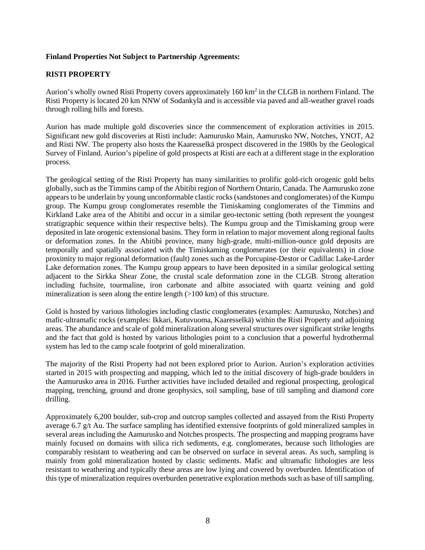# **Finland Properties Not Subject to Partnership Agreements:**

# **RISTI PROPERTY**

Aurion's wholly owned Risti Property covers approximately 160 km<sup>2</sup> in the CLGB in northern Finland. The Risti Property is located 20 km NNW of Sodankylä and is accessible via paved and all-weather gravel roads through rolling hills and forests.

Aurion has made multiple gold discoveries since the commencement of exploration activities in 2015. Significant new gold discoveries at Risti include: Aamurusko Main, Aamurusko NW, Notches, YNOT, A2 and Risti NW. The property also hosts the Kaaresselkä prospect discovered in the 1980s by the Geological Survey of Finland. Aurion's pipeline of gold prospects at Risti are each at a different stage in the exploration process.

The geological setting of the Risti Property has many similarities to prolific gold-rich orogenic gold belts globally, such as the Timmins camp of the Abitibi region of Northern Ontario, Canada. The Aamurusko zone appears to be underlain by young unconformable clastic rocks (sandstones and conglomerates) of the Kumpu group. The Kumpu group conglomerates resemble the Timiskaming conglomerates of the Timmins and Kirkland Lake area of the Abitibi and occur in a similar geo-tectonic setting (both represent the youngest stratigraphic sequence within their respective belts). The Kumpu group and the Timiskaming group were deposited in late orogenic extensional basins. They form in relation to major movement along regional faults or deformation zones. In the Abitibi province, many high-grade, multi-million-ounce gold deposits are temporally and spatially associated with the Timiskaming conglomerates (or their equivalents) in close proximity to major regional deformation (fault) zones such as the Porcupine-Destor or Cadillac Lake-Larder Lake deformation zones. The Kumpu group appears to have been deposited in a similar geological setting adjacent to the Sirkka Shear Zone, the crustal scale deformation zone in the CLGB. Strong alteration including fuchsite, tourmaline, iron carbonate and albite associated with quartz veining and gold mineralization is seen along the entire length  $(>100 \text{ km})$  of this structure.

Gold is hosted by various lithologies including clastic conglomerates (examples: Aamurusko, Notches) and mafic-ultramafic rocks (examples: Ikkari, Kutuvuoma, Kaaresselkä) within the Risti Property and adjoining areas. The abundance and scale of gold mineralization along several structures over significant strike lengths and the fact that gold is hosted by various lithologies point to a conclusion that a powerful hydrothermal system has led to the camp scale footprint of gold mineralization.

The majority of the Risti Property had not been explored prior to Aurion. Aurion's exploration activities started in 2015 with prospecting and mapping, which led to the initial discovery of high-grade boulders in the Aamurusko area in 2016. Further activities have included detailed and regional prospecting, geological mapping, trenching, ground and drone geophysics, soil sampling, base of till sampling and diamond core drilling.

Approximately 6,200 boulder, sub-crop and outcrop samples collected and assayed from the Risti Property average 6.7 g/t Au. The surface sampling has identified extensive footprints of gold mineralized samples in several areas including the Aamurusko and Notches prospects. The prospecting and mapping programs have mainly focused on domains with silica rich sediments, e.g. conglomerates, because such lithologies are comparably resistant to weathering and can be observed on surface in several areas. As such, sampling is mainly from gold mineralization hosted by clastic sediments. Mafic and ultramafic lithologies are less resistant to weathering and typically these areas are low lying and covered by overburden. Identification of this type of mineralization requires overburden penetrative exploration methods such as base of till sampling.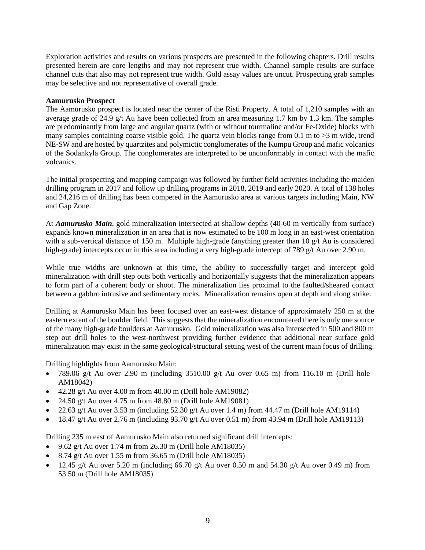Exploration activities and results on various prospects are presented in the following chapters. Drill results presented herein are core lengths and may not represent true width. Channel sample results are surface channel cuts that also may not represent true width. Gold assay values are uncut. Prospecting grab samples may be selective and not representative of overall grade.

#### **Aamurusko Prospect**

The Aamurusko prospect is located near the center of the Risti Property. A total of 1,210 samples with an average grade of 24.9 g/t Au have been collected from an area measuring 1.7 km by 1.3 km. The samples are predominantly from large and angular quartz (with or without tourmaline and/or Fe-Oxide) blocks with many samples containing coarse visible gold. The quartz vein blocks range from 0.1 m to  $>3$  m wide, trend NE-SW and are hosted by quartzites and polymictic conglomerates of the Kumpu Group and mafic volcanics of the Sodankylä Group. The conglomerates are interpreted to be unconformably in contact with the mafic volcanics.

The initial prospecting and mapping campaign was followed by further field activities including the maiden drilling program in 2017 and follow up drilling programs in 2018, 2019 and early 2020. A total of 138 holes and 24,216 m of drilling has been competed in the Aamurusko area at various targets including Main, NW and Gap Zone.

At *Aamurusko Main*, gold mineralization intersected at shallow depths (40-60 m vertically from surface) expands known mineralization in an area that is now estimated to be 100 m long in an east-west orientation with a sub-vertical distance of 150 m. Multiple high-grade (anything greater than 10 g/t Au is considered high-grade) intercepts occur in this area including a very high-grade intercept of 789 g/t Au over 2.90 m.

While true widths are unknown at this time, the ability to successfully target and intercept gold mineralization with drill step outs both vertically and horizontally suggests that the mineralization appears to form part of a coherent body or shoot. The mineralization lies proximal to the faulted/sheared contact between a gabbro intrusive and sedimentary rocks. Mineralization remains open at depth and along strike.

Drilling at Aamurusko Main has been focused over an east-west distance of approximately 250 m at the eastern extent of the boulder field. This suggests that the mineralization encountered there is only one source of the many high-grade boulders at Aamurusko. Gold mineralization was also intersected in 500 and 800 m step out drill holes to the west-northwest providing further evidence that additional near surface gold mineralization may exist in the same geological/structural setting west of the current main focus of drilling.

Drilling highlights from Aamurusko Main:

- 789.06 g/t Au over 2.90 m (including 3510.00 g/t Au over 0.65 m) from 116.10 m (Drill hole AM18042)
- $\bullet$  42.28 g/t Au over 4.00 m from 40.00 m (Drill hole AM19082)
- 24.50 g/t Au over 4.75 m from  $48.80$  m (Drill hole AM19081)
- 22.63 g/t Au over 3.53 m (including 52.30 g/t Au over 1.4 m) from 44.47 m (Drill hole AM19114)
- 18.47 g/t Au over 2.76 m (including  $93.70$  g/t Au over 0.51 m) from 43.94 m (Drill hole AM19113)

Drilling 235 m east of Aamurusko Main also returned significant drill intercepts:

- 9.62 g/t Au over 1.74 m from 26.30 m (Drill hole AM18035)
- 8.74 g/t Au over 1.55 m from 36.65 m (Drill hole AM18035)
- 12.45 g/t Au over 5.20 m (including 66.70 g/t Au over 0.50 m and 54.30 g/t Au over 0.49 m) from 53.50 m (Drill hole AM18035)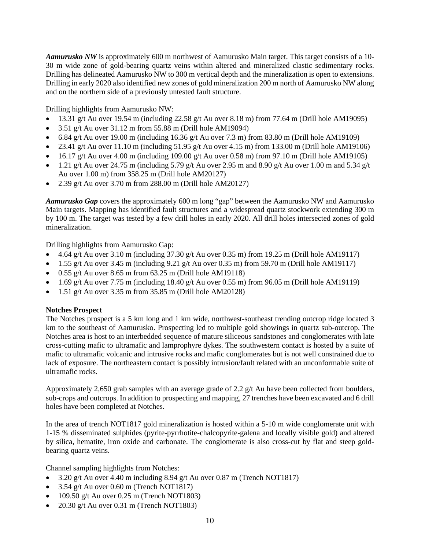*Aamurusko NW* is approximately 600 m northwest of Aamurusko Main target. This target consists of a 10- 30 m wide zone of gold-bearing quartz veins within altered and mineralized clastic sedimentary rocks. Drilling has delineated Aamurusko NW to 300 m vertical depth and the mineralization is open to extensions. Drilling in early 2020 also identified new zones of gold mineralization 200 m north of Aamurusko NW along and on the northern side of a previously untested fault structure.

Drilling highlights from Aamurusko NW:

- 13.31 g/t Au over 19.54 m (including 22.58 g/t Au over 8.18 m) from 77.64 m (Drill hole AM19095)
- $3.51$  g/t Au over  $31.12$  m from  $55.88$  m (Drill hole AM19094)
- 6.84 g/t Au over 19.00 m (including 16.36 g/t Au over 7.3 m) from 83.80 m (Drill hole AM19109)
- 23.41 g/t Au over 11.10 m (including  $51.95$  g/t Au over 4.15 m) from 133.00 m (Drill hole AM19106)
- 16.17 g/t Au over 4.00 m (including 109.00 g/t Au over 0.58 m) from 97.10 m (Drill hole AM19105)
- 1.21 g/t Au over 24.75 m (including 5.79 g/t Au over 2.95 m and 8.90 g/t Au over 1.00 m and 5.34 g/t Au over 1.00 m) from 358.25 m (Drill hole AM20127)
- 2.39 g/t Au over 3.70 m from 288.00 m (Drill hole AM20127)

*Aamurusko Gap* covers the approximately 600 m long "gap" between the Aamurusko NW and Aamurusko Main targets. Mapping has identified fault structures and a widespread quartz stockwork extending 300 m by 100 m. The target was tested by a few drill holes in early 2020. All drill holes intersected zones of gold mineralization.

Drilling highlights from Aamurusko Gap:

- 4.64 g/t Au over 3.10 m (including 37.30 g/t Au over 0.35 m) from 19.25 m (Drill hole AM19117)
- 1.55 g/t Au over 3.45 m (including 9.21 g/t Au over 0.35 m) from 59.70 m (Drill hole AM19117)
- $\bullet$  0.55 g/t Au over 8.65 m from 63.25 m (Drill hole AM19118)
- $\bullet$  1.69 g/t Au over 7.75 m (including 18.40 g/t Au over 0.55 m) from 96.05 m (Drill hole AM19119)
- $\bullet$  1.51 g/t Au over 3.35 m from 35.85 m (Drill hole AM20128)

# **Notches Prospect**

The Notches prospect is a 5 km long and 1 km wide, northwest-southeast trending outcrop ridge located 3 km to the southeast of Aamurusko. Prospecting led to multiple gold showings in quartz sub-outcrop. The Notches area is host to an interbedded sequence of mature siliceous sandstones and conglomerates with late cross-cutting mafic to ultramafic and lamprophyre dykes. The southwestern contact is hosted by a suite of mafic to ultramafic volcanic and intrusive rocks and mafic conglomerates but is not well constrained due to lack of exposure. The northeastern contact is possibly intrusion/fault related with an unconformable suite of ultramafic rocks.

Approximately 2,650 grab samples with an average grade of 2.2 g/t Au have been collected from boulders, sub-crops and outcrops. In addition to prospecting and mapping, 27 trenches have been excavated and 6 drill holes have been completed at Notches.

In the area of trench NOT1817 gold mineralization is hosted within a 5-10 m wide conglomerate unit with 1-15 % disseminated sulphides (pyrite-pyrrhotite-chalcopyrite-galena and locally visible gold) and altered by silica, hematite, iron oxide and carbonate. The conglomerate is also cross-cut by flat and steep goldbearing quartz veins.

Channel sampling highlights from Notches:

- 3.20 g/t Au over 4.40 m including  $8.94$  g/t Au over 0.87 m (Trench NOT1817)
- $\bullet$  3.54 g/t Au over 0.60 m (Trench NOT1817)
- $\bullet$  109.50 g/t Au over 0.25 m (Trench NOT1803)
- 20.30 g/t Au over 0.31 m (Trench NOT1803)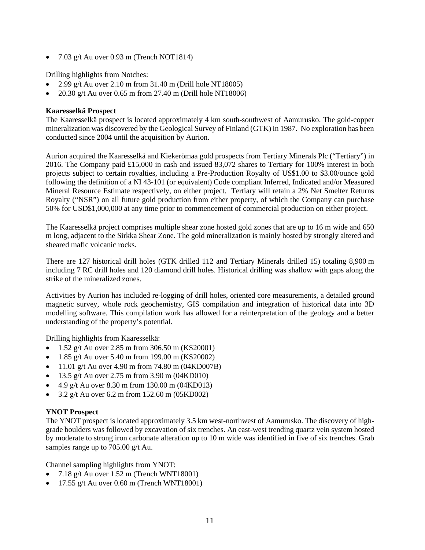• 7.03 g/t Au over 0.93 m (Trench NOT1814)

Drilling highlights from Notches:

- 2.99 g/t Au over 2.10 m from  $31.40$  m (Drill hole NT18005)
- 20.30 g/t Au over 0.65 m from 27.40 m (Drill hole NT18006)

# **Kaaresselkä Prospect**

The Kaaresselkä prospect is located approximately 4 km south-southwest of Aamurusko. The gold-copper mineralization was discovered by the Geological Survey of Finland (GTK) in 1987. No exploration has been conducted since 2004 until the acquisition by Aurion.

Aurion acquired the Kaaresselkä and Kiekerömaa gold prospects from Tertiary Minerals Plc ("Tertiary") in 2016. The Company paid £15,000 in cash and issued 83,072 shares to Tertiary for 100% interest in both projects subject to certain royalties, including a Pre-Production Royalty of US\$1.00 to \$3.00/ounce gold following the definition of a NI 43-101 (or equivalent) Code compliant Inferred, Indicated and/or Measured Mineral Resource Estimate respectively, on either project. Tertiary will retain a 2% Net Smelter Returns Royalty ("NSR") on all future gold production from either property, of which the Company can purchase 50% for USD\$1,000,000 at any time prior to commencement of commercial production on either project.

The Kaaresselkä project comprises multiple shear zone hosted gold zones that are up to 16 m wide and 650 m long, adjacent to the Sirkka Shear Zone. The gold mineralization is mainly hosted by strongly altered and sheared mafic volcanic rocks.

There are 127 historical drill holes (GTK drilled 112 and Tertiary Minerals drilled 15) totaling 8,900 m including 7 RC drill holes and 120 diamond drill holes. Historical drilling was shallow with gaps along the strike of the mineralized zones.

Activities by Aurion has included re-logging of drill holes, oriented core measurements, a detailed ground magnetic survey, whole rock geochemistry, GIS compilation and integration of historical data into 3D modelling software. This compilation work has allowed for a reinterpretation of the geology and a better understanding of the property's potential.

Drilling highlights from Kaaresselkä:

- 1.52 g/t Au over 2.85 m from 306.50 m (KS20001)
- 1.85 g/t Au over 5.40 m from 199.00 m (KS20002)
- 11.01 g/t Au over 4.90 m from 74.80 m  $(04KD007B)$
- 13.5 g/t Au over 2.75 m from  $3.90$  m  $(04KD010)$
- 4.9 g/t Au over 8.30 m from 130.00 m  $(04KD013)$
- 3.2 g/t Au over 6.2 m from 152.60 m  $(05KD002)$

# **YNOT Prospect**

The YNOT prospect is located approximately 3.5 km west-northwest of Aamurusko. The discovery of highgrade boulders was followed by excavation of six trenches. An east-west trending quartz vein system hosted by moderate to strong iron carbonate alteration up to 10 m wide was identified in five of six trenches. Grab samples range up to 705.00 g/t Au.

Channel sampling highlights from YNOT:

- $7.18 \text{ g/t}$  Au over  $1.52 \text{ m}$  (Trench WNT18001)
- 17.55 g/t Au over  $0.60$  m (Trench WNT18001)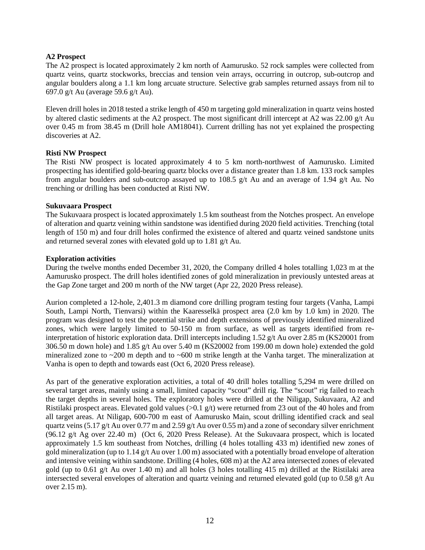# **A2 Prospect**

The A2 prospect is located approximately 2 km north of Aamurusko. 52 rock samples were collected from quartz veins, quartz stockworks, breccias and tension vein arrays, occurring in outcrop, sub-outcrop and angular boulders along a 1.1 km long arcuate structure. Selective grab samples returned assays from nil to 697.0 g/t Au (average 59.6 g/t Au).

Eleven drill holes in 2018 tested a strike length of 450 m targeting gold mineralization in quartz veins hosted by altered clastic sediments at the A2 prospect. The most significant drill intercept at A2 was 22.00 g/t Au over 0.45 m from 38.45 m (Drill hole AM18041). Current drilling has not yet explained the prospecting discoveries at A2.

# **Risti NW Prospect**

The Risti NW prospect is located approximately 4 to 5 km north-northwest of Aamurusko. Limited prospecting has identified gold-bearing quartz blocks over a distance greater than 1.8 km. 133 rock samples from angular boulders and sub-outcrop assayed up to 108.5 g/t Au and an average of 1.94 g/t Au. No trenching or drilling has been conducted at Risti NW.

# **Sukuvaara Prospect**

The Sukuvaara prospect is located approximately 1.5 km southeast from the Notches prospect. An envelope of alteration and quartz veining within sandstone was identified during 2020 field activities. Trenching (total length of 150 m) and four drill holes confirmed the existence of altered and quartz veined sandstone units and returned several zones with elevated gold up to 1.81 g/t Au.

# **Exploration activities**

During the twelve months ended December 31, 2020, the Company drilled 4 holes totalling 1,023 m at the Aamurusko prospect. The drill holes identified zones of gold mineralization in previously untested areas at the Gap Zone target and 200 m north of the NW target (Apr 22, 2020 Press release).

Aurion completed a 12-hole, 2,401.3 m diamond core drilling program testing four targets (Vanha, Lampi South, Lampi North, Tienvarsi) within the Kaaresselkä prospect area (2.0 km by 1.0 km) in 2020. The program was designed to test the potential strike and depth extensions of previously identified mineralized zones, which were largely limited to 50-150 m from surface, as well as targets identified from reinterpretation of historic exploration data. Drill intercepts including 1.52 g/t Au over 2.85 m (KS20001 from 306.50 m down hole) and 1.85 g/t Au over 5.40 m (KS20002 from 199.00 m down hole) extended the gold mineralized zone to ~200 m depth and to ~600 m strike length at the Vanha target. The mineralization at Vanha is open to depth and towards east (Oct 6, 2020 Press release).

As part of the generative exploration activities, a total of 40 drill holes totalling 5,294 m were drilled on several target areas, mainly using a small, limited capacity "scout" drill rig. The "scout" rig failed to reach the target depths in several holes. The exploratory holes were drilled at the Niligap, Sukuvaara, A2 and Ristilaki prospect areas. Elevated gold values (>0.1 g/t) were returned from 23 out of the 40 holes and from all target areas. At Niligap, 600-700 m east of Aamurusko Main, scout drilling identified crack and seal quartz veins (5.17 g/t Au over 0.77 m and 2.59 g/t Au over 0.55 m) and a zone of secondary silver enrichment (96.12 g/t Ag over 22.40 m) (Oct 6, 2020 Press Release). At the Sukuvaara prospect, which is located approximately 1.5 km southeast from Notches, drilling (4 holes totalling 433 m) identified new zones of gold mineralization (up to 1.14 g/t Au over 1.00 m) associated with a potentially broad envelope of alteration and intensive veining within sandstone. Drilling (4 holes, 608 m) at the A2 area intersected zones of elevated gold (up to 0.61 g/t Au over 1.40 m) and all holes (3 holes totalling 415 m) drilled at the Ristilaki area intersected several envelopes of alteration and quartz veining and returned elevated gold (up to 0.58 g/t Au over 2.15 m).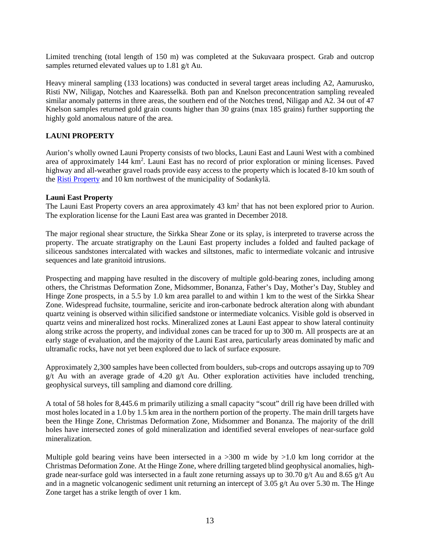Limited trenching (total length of 150 m) was completed at the Sukuvaara prospect. Grab and outcrop samples returned elevated values up to 1.81 g/t Au.

Heavy mineral sampling (133 locations) was conducted in several target areas including A2, Aamurusko, Risti NW, Niligap, Notches and Kaaresselkä. Both pan and Knelson preconcentration sampling revealed similar anomaly patterns in three areas, the southern end of the Notches trend, Niligap and A2. 34 out of 47 Knelson samples returned gold grain counts higher than 30 grains (max 185 grains) further supporting the highly gold anomalous nature of the area.

# **LAUNI PROPERTY**

Aurion's wholly owned Launi Property consists of two blocks, Launi East and Launi West with a combined area of approximately 144 km<sup>2</sup>. Launi East has no record of prior exploration or mining licenses. Paved highway and all-weather gravel roads provide easy access to the property which is located 8-10 km south of the Risti Property and 10 km northwest of the municipality of Sodankylä.

#### **Launi East Property**

The Launi East Property covers an area approximately 43 km<sup>2</sup> that has not been explored prior to Aurion. The exploration license for the Launi East area was granted in December 2018.

The major regional shear structure, the Sirkka Shear Zone or its splay, is interpreted to traverse across the property. The arcuate stratigraphy on the Launi East property includes a folded and faulted package of siliceous sandstones intercalated with wackes and siltstones, mafic to intermediate volcanic and intrusive sequences and late granitoid intrusions.

Prospecting and mapping have resulted in the discovery of multiple gold-bearing zones, including among others, the Christmas Deformation Zone, Midsommer, Bonanza, Father's Day, Mother's Day, Stubley and Hinge Zone prospects, in a 5.5 by 1.0 km area parallel to and within 1 km to the west of the Sirkka Shear Zone. Widespread fuchsite, tourmaline, sericite and iron-carbonate bedrock alteration along with abundant quartz veining is observed within silicified sandstone or intermediate volcanics. Visible gold is observed in quartz veins and mineralized host rocks. Mineralized zones at Launi East appear to show lateral continuity along strike across the property, and individual zones can be traced for up to 300 m. All prospects are at an early stage of evaluation, and the majority of the Launi East area, particularly areas dominated by mafic and ultramafic rocks, have not yet been explored due to lack of surface exposure.

Approximately 2,300 samples have been collected from boulders, sub-crops and outcrops assaying up to 709 g/t Au with an average grade of 4.20 g/t Au. Other exploration activities have included trenching, geophysical surveys, till sampling and diamond core drilling.

A total of 58 holes for 8,445.6 m primarily utilizing a small capacity "scout" drill rig have been drilled with most holes located in a 1.0 by 1.5 km area in the northern portion of the property. The main drill targets have been the Hinge Zone, Christmas Deformation Zone, Midsommer and Bonanza. The majority of the drill holes have intersected zones of gold mineralization and identified several envelopes of near-surface gold mineralization.

Multiple gold bearing veins have been intersected in a  $>300$  m wide by  $>1.0$  km long corridor at the Christmas Deformation Zone. At the Hinge Zone, where drilling targeted blind geophysical anomalies, highgrade near-surface gold was intersected in a fault zone returning assays up to 30.70 g/t Au and 8.65 g/t Au and in a magnetic volcanogenic sediment unit returning an intercept of 3.05 g/t Au over 5.30 m. The Hinge Zone target has a strike length of over 1 km.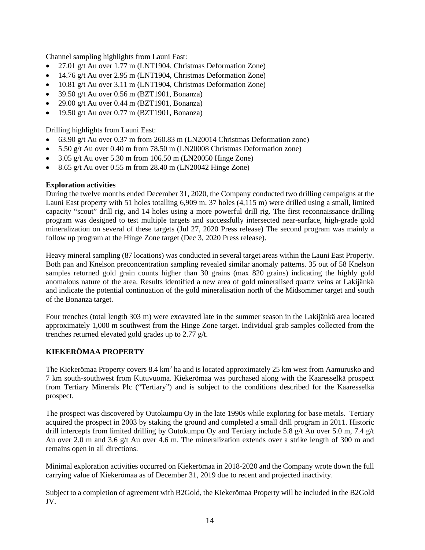Channel sampling highlights from Launi East:

- 27.01 g/t Au over 1.77 m (LNT1904, Christmas Deformation Zone)
- 14.76 g/t Au over 2.95 m (LNT1904, Christmas Deformation Zone)
- 10.81 g/t Au over 3.11 m (LNT1904, Christmas Deformation Zone)
- 39.50 g/t Au over 0.56 m (BZT1901, Bonanza)
- 29.00 g/t Au over 0.44 m (BZT1901, Bonanza)
- 19.50 g/t Au over 0.77 m (BZT1901, Bonanza)

Drilling highlights from Launi East:

- 63.90 g/t Au over 0.37 m from 260.83 m (LN20014 Christmas Deformation zone)
- 5.50 g/t Au over 0.40 m from 78.50 m (LN20008 Christmas Deformation zone)
- 3.05 g/t Au over 5.30 m from  $106.50$  m (LN20050 Hinge Zone)
- 8.65 g/t Au over 0.55 m from 28.40 m (LN20042 Hinge Zone)

# **Exploration activities**

During the twelve months ended December 31, 2020, the Company conducted two drilling campaigns at the Launi East property with 51 holes totalling 6,909 m. 37 holes (4,115 m) were drilled using a small, limited capacity "scout" drill rig, and 14 holes using a more powerful drill rig. The first reconnaissance drilling program was designed to test multiple targets and successfully intersected near-surface, high-grade gold mineralization on several of these targets (Jul 27, 2020 Press release) The second program was mainly a follow up program at the Hinge Zone target (Dec 3, 2020 Press release).

Heavy mineral sampling (87 locations) was conducted in several target areas within the Launi East Property. Both pan and Knelson preconcentration sampling revealed similar anomaly patterns. 35 out of 58 Knelson samples returned gold grain counts higher than 30 grains (max 820 grains) indicating the highly gold anomalous nature of the area. Results identified a new area of gold mineralised quartz veins at Lakijänkä and indicate the potential continuation of the gold mineralisation north of the Midsommer target and south of the Bonanza target.

Four trenches (total length 303 m) were excavated late in the summer season in the Lakijänkä area located approximately 1,000 m southwest from the Hinge Zone target. Individual grab samples collected from the trenches returned elevated gold grades up to 2.77 g/t.

# **KIEKERÖMAA PROPERTY**

The Kiekerömaa Property covers 8.4 km<sup>2</sup> ha and is located approximately 25 km west from Aamurusko and 7 km south-southwest from Kutuvuoma. Kiekerömaa was purchased along with the Kaaresselkä prospect from Tertiary Minerals Plc ("Tertiary") and is subject to the conditions described for the Kaaresselkä prospect.

The prospect was discovered by Outokumpu Oy in the late 1990s while exploring for base metals. Tertiary acquired the prospect in 2003 by staking the ground and completed a small drill program in 2011. Historic drill intercepts from limited drilling by Outokumpu Oy and Tertiary include 5.8 g/t Au over 5.0 m, 7.4 g/t Au over 2.0 m and 3.6 g/t Au over 4.6 m. The mineralization extends over a strike length of 300 m and remains open in all directions.

Minimal exploration activities occurred on Kiekerömaa in 2018-2020 and the Company wrote down the full carrying value of Kiekerömaa as of December 31, 2019 due to recent and projected inactivity.

Subject to a completion of agreement with B2Gold, the Kiekerömaa Property will be included in the B2Gold JV.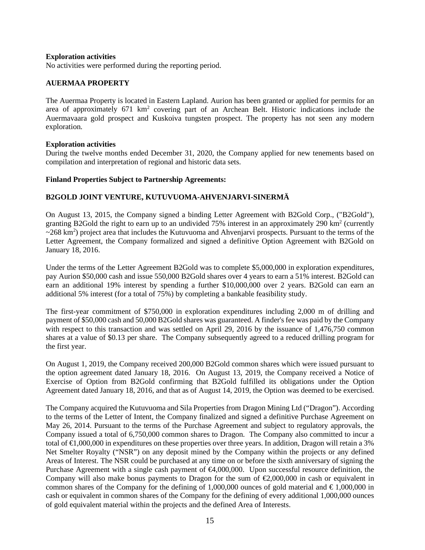#### **Exploration activities**

No activities were performed during the reporting period.

# **AUERMAA PROPERTY**

The Auermaa Property is located in Eastern Lapland. Aurion has been granted or applied for permits for an area of approximately 671 km<sup>2</sup> covering part of an Archean Belt. Historic indications include the Auermavaara gold prospect and Kuskoiva tungsten prospect. The property has not seen any modern exploration.

#### **Exploration activities**

During the twelve months ended December 31, 2020, the Company applied for new tenements based on compilation and interpretation of regional and historic data sets.

#### **Finland Properties Subject to Partnership Agreements:**

# **B2GOLD JOINT VENTURE, KUTUVUOMA-AHVENJARVI-SINERMÄ**

On August 13, 2015, the Company signed a binding Letter Agreement with B2Gold Corp., ("B2Gold"), granting B2Gold the right to earn up to an undivided 75% interest in an approximately 290 km2 (currently  $\sim$ 268 km<sup>2</sup>) project area that includes the Kutuvuoma and Ahvenjarvi prospects. Pursuant to the terms of the Letter Agreement, the Company formalized and signed a definitive Option Agreement with B2Gold on January 18, 2016.

Under the terms of the Letter Agreement B2Gold was to complete \$5,000,000 in exploration expenditures, pay Aurion \$50,000 cash and issue 550,000 B2Gold shares over 4 years to earn a 51% interest. B2Gold can earn an additional 19% interest by spending a further \$10,000,000 over 2 years. B2Gold can earn an additional 5% interest (for a total of 75%) by completing a bankable feasibility study.

The first-year commitment of \$750,000 in exploration expenditures including 2,000 m of drilling and payment of \$50,000 cash and 50,000 B2Gold shares was guaranteed. A finder's fee was paid by the Company with respect to this transaction and was settled on April 29, 2016 by the issuance of 1,476,750 common shares at a value of \$0.13 per share. The Company subsequently agreed to a reduced drilling program for the first year.

On August 1, 2019, the Company received 200,000 B2Gold common shares which were issued pursuant to the option agreement dated January 18, 2016. On August 13, 2019, the Company received a Notice of Exercise of Option from B2Gold confirming that B2Gold fulfilled its obligations under the Option Agreement dated January 18, 2016, and that as of August 14, 2019, the Option was deemed to be exercised.

The Company acquired the Kutuvuoma and Sila Properties from Dragon Mining Ltd ("Dragon"). According to the terms of the Letter of Intent, the Company finalized and signed a definitive Purchase Agreement on May 26, 2014. Pursuant to the terms of the Purchase Agreement and subject to regulatory approvals, the Company issued a total of 6,750,000 common shares to Dragon. The Company also committed to incur a total of €1,000,000 in expenditures on these properties over three years. In addition, Dragon will retain a 3% Net Smelter Royalty ("NSR") on any deposit mined by the Company within the projects or any defined Areas of Interest. The NSR could be purchased at any time on or before the sixth anniversary of signing the Purchase Agreement with a single cash payment of €4,000,000. Upon successful resource definition, the Company will also make bonus payments to Dragon for the sum of  $\epsilon$ 2,000,000 in cash or equivalent in common shares of the Company for the defining of 1,000,000 ounces of gold material and  $\epsilon$ 1,000,000 in cash or equivalent in common shares of the Company for the defining of every additional 1,000,000 ounces of gold equivalent material within the projects and the defined Area of Interests.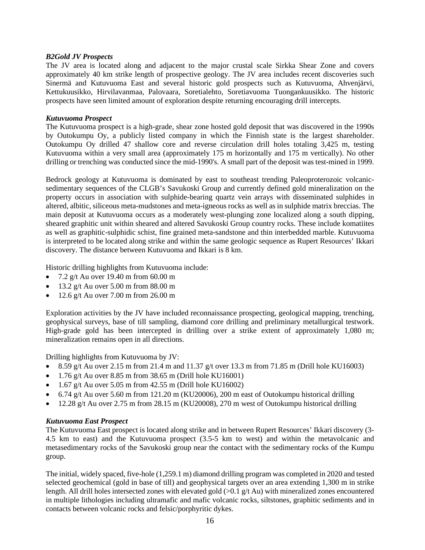#### *B2Gold JV Prospects*

The JV area is located along and adjacent to the major crustal scale Sirkka Shear Zone and covers approximately 40 km strike length of prospective geology. The JV area includes recent discoveries such Sinermä and Kutuvuoma East and several historic gold prospects such as Kutuvuoma, Ahvenjärvi, Kettukuusikko, Hirvilavanmaa, Palovaara, Soretialehto, Soretiavuoma Tuongankuusikko. The historic prospects have seen limited amount of exploration despite returning encouraging drill intercepts.

#### *Kutuvuoma Prospect*

The Kutuvuoma prospect is a high-grade, shear zone hosted gold deposit that was discovered in the 1990s by Outokumpu Oy, a publicly listed company in which the Finnish state is the largest shareholder. Outokumpu Oy drilled 47 shallow core and reverse circulation drill holes totaling 3,425 m, testing Kutuvuoma within a very small area (approximately 175 m horizontally and 175 m vertically). No other drilling or trenching was conducted since the mid-1990's. A small part of the deposit was test-mined in 1999.

Bedrock geology at Kutuvuoma is dominated by east to southeast trending Paleoproterozoic volcanicsedimentary sequences of the CLGB's Savukoski Group and currently defined gold mineralization on the property occurs in association with sulphide-bearing quartz vein arrays with disseminated sulphides in altered, albitic, siliceous meta-mudstones and meta-igneous rocks as well as in sulphide matrix breccias. The main deposit at Kutuvuoma occurs as a moderately west-plunging zone localized along a south dipping, sheared graphitic unit within sheared and altered Savukoski Group country rocks. These include komatiites as well as graphitic-sulphidic schist, fine grained meta-sandstone and thin interbedded marble. Kutuvuoma is interpreted to be located along strike and within the same geologic sequence as Rupert Resources' Ikkari discovery. The distance between Kutuvuoma and Ikkari is 8 km.

Historic drilling highlights from Kutuvuoma include:

- 7.2 g/t Au over 19.40 m from 60.00 m
- 13.2 g/t Au over  $5.00 \text{ m}$  from  $88.00 \text{ m}$
- 12.6 g/t Au over 7.00 m from 26.00 m

Exploration activities by the JV have included reconnaissance prospecting, geological mapping, trenching, geophysical surveys, base of till sampling, diamond core drilling and preliminary metallurgical testwork. High-grade gold has been intercepted in drilling over a strike extent of approximately 1,080 m; mineralization remains open in all directions.

Drilling highlights from Kutuvuoma by JV:

- 8.59 g/t Au over 2.15 m from 21.4 m and 11.37 g/t over 13.3 m from 71.85 m (Drill hole KU16003)
- 1.76 g/t Au over 8.85 m from 38.65 m (Drill hole KU16001)
- 1.67 g/t Au over 5.05 m from 42.55 m (Drill hole KU16002)
- 6.74 g/t Au over 5.60 m from 121.20 m (KU20006), 200 m east of Outokumpu historical drilling
- 12.28 g/t Au over 2.75 m from 28.15 m (KU20008), 270 m west of Outokumpu historical drilling

# *Kutuvuoma East Prospect*

The Kutuvuoma East prospect is located along strike and in between Rupert Resources' Ikkari discovery (3- 4.5 km to east) and the Kutuvuoma prospect (3.5-5 km to west) and within the metavolcanic and metasedimentary rocks of the Savukoski group near the contact with the sedimentary rocks of the Kumpu group.

The initial, widely spaced, five-hole (1,259.1 m) diamond drilling program was completed in 2020 and tested selected geochemical (gold in base of till) and geophysical targets over an area extending 1,300 m in strike length. All drill holes intersected zones with elevated gold (>0.1 g/t Au) with mineralized zones encountered in multiple lithologies including ultramafic and mafic volcanic rocks, siltstones, graphitic sediments and in contacts between volcanic rocks and felsic/porphyritic dykes.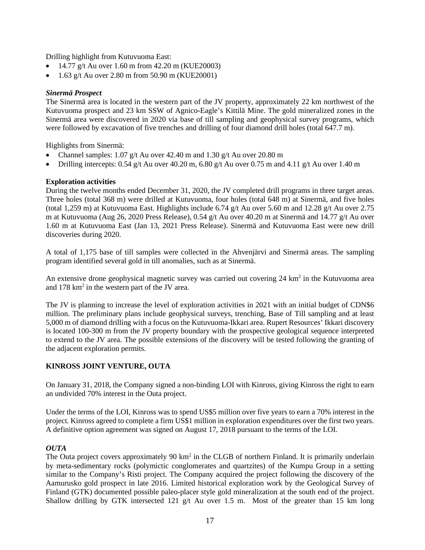Drilling highlight from Kutuvuoma East:

- 14.77 g/t Au over 1.60 m from 42.20 m (KUE20003)
- 1.63 g/t Au over 2.80 m from 50.90 m (KUE20001)

# *Sinermä Prospect*

The Sinermä area is located in the western part of the JV property, approximately 22 km northwest of the Kutuvuoma prospect and 23 km SSW of Agnico-Eagle's Kittilä Mine. The gold mineralized zones in the Sinermä area were discovered in 2020 via base of till sampling and geophysical survey programs, which were followed by excavation of five trenches and drilling of four diamond drill holes (total 647.7 m).

Highlights from Sinermä:

- Channel samples:  $1.07$  g/t Au over 42.40 m and  $1.30$  g/t Au over 20.80 m
- Drilling intercepts:  $0.54$  g/t Au over  $40.20$  m,  $6.80$  g/t Au over  $0.75$  m and  $4.11$  g/t Au over  $1.40$  m

# **Exploration activities**

During the twelve months ended December 31, 2020, the JV completed drill programs in three target areas. Three holes (total 368 m) were drilled at Kutuvuoma, four holes (total 648 m) at Sinermä, and five holes (total 1,259 m) at Kutuvuoma East. Highlights include 6.74 g/t Au over 5.60 m and 12.28 g/t Au over 2.75 m at Kutuvuoma (Aug 26, 2020 Press Release), 0.54 g/t Au over 40.20 m at Sinermä and 14.77 g/t Au over 1.60 m at Kutuvuoma East (Jan 13, 2021 Press Release). Sinermä and Kutuvuoma East were new drill discoveries during 2020.

A total of 1,175 base of till samples were collected in the Ahvenjärvi and Sinermä areas. The sampling program identified several gold in till anomalies, such as at Sinermä.

An extensive drone geophysical magnetic survey was carried out covering 24 km<sup>2</sup> in the Kutuvuoma area and 178 km<sup>2</sup> in the western part of the JV area.

The JV is planning to increase the level of exploration activities in 2021 with an initial budget of CDN\$6 million. The preliminary plans include geophysical surveys, trenching, Base of Till sampling and at least 5,000 m of diamond drilling with a focus on the Kutuvuoma-Ikkari area. Rupert Resources' Ikkari discovery is located 100-300 m from the JV property boundary with the prospective geological sequence interpreted to extend to the JV area. The possible extensions of the discovery will be tested following the granting of the adjacent exploration permits.

# **KINROSS JOINT VENTURE, OUTA**

On January 31, 2018, the Company signed a non-binding LOI with Kinross, giving Kinross the right to earn an undivided 70% interest in the Outa project.

Under the terms of the LOI, Kinross was to spend US\$5 million over five years to earn a 70% interest in the project. Kinross agreed to complete a firm US\$1 million in exploration expenditures over the first two years. A definitive option agreement was signed on August 17, 2018 pursuant to the terms of the LOI.

# *OUTA*

The Outa project covers approximately  $90 \text{ km}^2$  in the CLGB of northern Finland. It is primarily underlain by meta-sedimentary rocks (polymictic conglomerates and quartzites) of the Kumpu Group in a setting similar to the Company's Risti project. The Company acquired the project following the discovery of the Aamurusko gold prospect in late 2016. Limited historical exploration work by the Geological Survey of Finland (GTK) documented possible paleo-placer style gold mineralization at the south end of the project. Shallow drilling by GTK intersected 121 g/t Au over 1.5 m. Most of the greater than 15 km long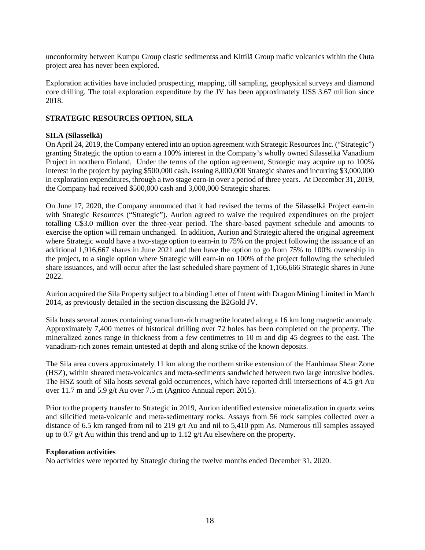unconformity between Kumpu Group clastic sedimentss and Kittilä Group mafic volcanics within the Outa project area has never been explored.

Exploration activities have included prospecting, mapping, till sampling, geophysical surveys and diamond core drilling. The total exploration expenditure by the JV has been approximately US\$ 3.67 million since 2018.

# **STRATEGIC RESOURCES OPTION, SILA**

# **SILA (Silasselkä)**

On April 24, 2019, the Company entered into an option agreement with Strategic Resources Inc. ("Strategic") granting Strategic the option to earn a 100% interest in the Company's wholly owned Silasselkä Vanadium Project in northern Finland. Under the terms of the option agreement, Strategic may acquire up to 100% interest in the project by paying \$500,000 cash, issuing 8,000,000 Strategic shares and incurring \$3,000,000 in exploration expenditures, through a two stage earn-in over a period of three years. At December 31, 2019, the Company had received \$500,000 cash and 3,000,000 Strategic shares.

On June 17, 2020, the Company announced that it had revised the terms of the Silasselkä Project earn-in with Strategic Resources ("Strategic"). Aurion agreed to waive the required expenditures on the project totalling C\$3.0 million over the three-year period. The share-based payment schedule and amounts to exercise the option will remain unchanged. In addition, Aurion and Strategic altered the original agreement where Strategic would have a two-stage option to earn-in to 75% on the project following the issuance of an additional 1,916,667 shares in June 2021 and then have the option to go from 75% to 100% ownership in the project, to a single option where Strategic will earn-in on 100% of the project following the scheduled share issuances, and will occur after the last scheduled share payment of 1,166,666 Strategic shares in June 2022.

Aurion acquired the Sila Property subject to a binding Letter of Intent with Dragon Mining Limited in March 2014, as previously detailed in the section discussing the B2Gold JV.

Sila hosts several zones containing vanadium-rich magnetite located along a 16 km long magnetic anomaly. Approximately 7,400 metres of historical drilling over 72 holes has been completed on the property. The mineralized zones range in thickness from a few centimetres to 10 m and dip 45 degrees to the east. The vanadium-rich zones remain untested at depth and along strike of the known deposits.

The Sila area covers approximately 11 km along the northern strike extension of the Hanhimaa Shear Zone (HSZ), within sheared meta-volcanics and meta-sediments sandwiched between two large intrusive bodies. The HSZ south of Sila hosts several gold occurrences, which have reported drill intersections of 4.5 g/t Au over 11.7 m and 5.9 g/t Au over 7.5 m (Agnico Annual report 2015).

Prior to the property transfer to Strategic in 2019, Aurion identified extensive mineralization in quartz veins and silicified meta-volcanic and meta-sedimentary rocks. Assays from 56 rock samples collected over a distance of 6.5 km ranged from nil to 219 g/t Au and nil to 5,410 ppm As. Numerous till samples assayed up to 0.7 g/t Au within this trend and up to 1.12 g/t Au elsewhere on the property.

#### **Exploration activities**

No activities were reported by Strategic during the twelve months ended December 31, 2020.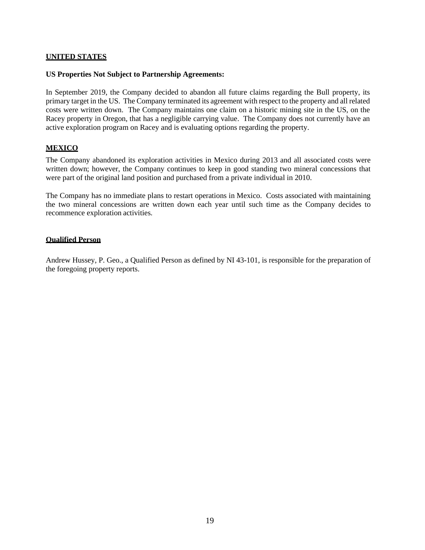#### **UNITED STATES**

#### **US Properties Not Subject to Partnership Agreements:**

In September 2019, the Company decided to abandon all future claims regarding the Bull property, its primary target in the US. The Company terminated its agreement with respect to the property and all related costs were written down. The Company maintains one claim on a historic mining site in the US, on the Racey property in Oregon, that has a negligible carrying value. The Company does not currently have an active exploration program on Racey and is evaluating options regarding the property.

# **MEXICO**

The Company abandoned its exploration activities in Mexico during 2013 and all associated costs were written down; however, the Company continues to keep in good standing two mineral concessions that were part of the original land position and purchased from a private individual in 2010.

The Company has no immediate plans to restart operations in Mexico. Costs associated with maintaining the two mineral concessions are written down each year until such time as the Company decides to recommence exploration activities.

#### **Qualified Person**

Andrew Hussey, P. Geo., a Qualified Person as defined by NI 43-101, is responsible for the preparation of the foregoing property reports.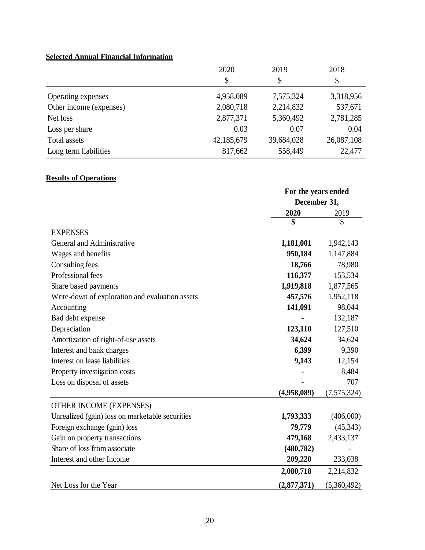# **Selected Annual Financial Information**

|                         | 2020       | 2019       | 2018       |
|-------------------------|------------|------------|------------|
|                         | \$         | \$         | \$         |
| Operating expenses      | 4,958,089  | 7,575,324  | 3,318,956  |
| Other income (expenses) | 2,080,718  | 2,214,832  | 537,671    |
| Net loss                | 2,877,371  | 5,360,492  | 2,781,285  |
| Loss per share          | 0.03       | 0.07       | 0.04       |
| Total assets            | 42,185,679 | 39,684,028 | 26,087,108 |
| Long term liabilities   | 817,662    | 558,449    | 22,477     |

# **Results of Operations**

|                                                 | For the years ended |             |
|-------------------------------------------------|---------------------|-------------|
|                                                 | December 31,        |             |
|                                                 | 2020                | 2019        |
|                                                 | \$                  | \$          |
| <b>EXPENSES</b>                                 |                     |             |
| General and Administrative                      | 1,181,001           | 1,942,143   |
| Wages and benefits                              | 950,184             | 1,147,884   |
| Consulting fees                                 | 18,766              | 78,980      |
| Professional fees                               | 116,377             | 153,534     |
| Share based payments                            | 1,919,818           | 1,877,565   |
| Write-down of exploration and evaluation assets | 457,576             | 1,952,118   |
| Accounting                                      | 141,091             | 98,044      |
| Bad debt expense                                |                     | 132,187     |
| Depreciation                                    | 123,110             | 127,510     |
| Amortization of right-of-use assets             | 34,624              | 34,624      |
| Interest and bank charges                       | 6,399               | 9,390       |
| Interest on lease liabilities                   | 9,143               | 12,154      |
| Property investigation costs                    |                     | 8,484       |
| Loss on disposal of assets                      |                     | 707         |
|                                                 | (4,958,089)         | (7,575,324) |
| OTHER INCOME (EXPENSES)                         |                     |             |
| Unrealized (gain) loss on marketable securities | 1,793,333           | (406,000)   |
| Foreign exchange (gain) loss                    | 79,779              | (45, 343)   |
| Gain on property transactions                   | 479,168             | 2,433,137   |
| Share of loss from associate                    | (480, 782)          |             |
| Interest and other Income                       | 209,220             | 233,038     |
|                                                 | 2,080,718           | 2,214,832   |
| Net Loss for the Year                           | (2,877,371)         | (5,360,492) |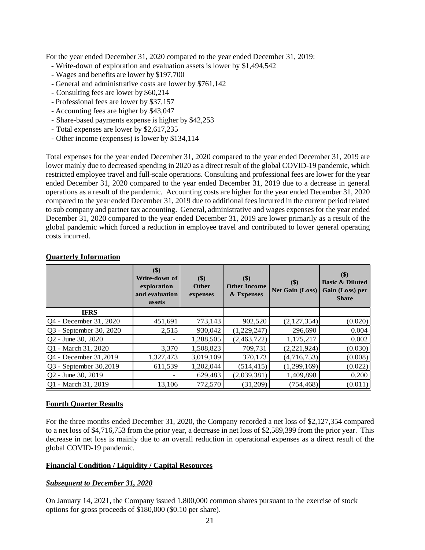For the year ended December 31, 2020 compared to the year ended December 31, 2019:

- Write-down of exploration and evaluation assets is lower by \$1,494,542
- Wages and benefits are lower by \$197,700
- General and administrative costs are lower by \$761,142
- Consulting fees are lower by \$60,214
- Professional fees are lower by \$37,157
- Accounting fees are higher by \$43,047
- Share-based payments expense is higher by \$42,253
- Total expenses are lower by \$2,617,235
- Other income (expenses) is lower by \$134,114

Total expenses for the year ended December 31, 2020 compared to the year ended December 31, 2019 are lower mainly due to decreased spending in 2020 as a direct result of the global COVID-19 pandemic, which restricted employee travel and full-scale operations. Consulting and professional fees are lower for the year ended December 31, 2020 compared to the year ended December 31, 2019 due to a decrease in general operations as a result of the pandemic. Accounting costs are higher for the year ended December 31, 2020 compared to the year ended December 31, 2019 due to additional fees incurred in the current period related to sub company and partner tax accounting. General, administrative and wages expenses for the year ended December 31, 2020 compared to the year ended December 31, 2019 are lower primarily as a result of the global pandemic which forced a reduction in employee travel and contributed to lower general operating costs incurred.

|                          | \$)<br>Write-down of<br>exploration<br>and evaluation<br>assets | \$)<br><b>Other</b><br>expenses | \$)<br><b>Other Income</b><br>& Expenses | \$)<br><b>Net Gain (Loss)</b> | $($ \$)<br><b>Basic &amp; Diluted</b><br>Gain (Loss) per<br><b>Share</b> |
|--------------------------|-----------------------------------------------------------------|---------------------------------|------------------------------------------|-------------------------------|--------------------------------------------------------------------------|
| <b>IFRS</b>              |                                                                 |                                 |                                          |                               |                                                                          |
| Q4 - December 31, 2020   | 451,691                                                         | 773,143                         | 902,520                                  | (2,127,354)                   | (0.020)                                                                  |
| Q3 - September 30, 2020  | 2,515                                                           | 930,042                         | (1,229,247)                              | 296,690                       | 0.004                                                                    |
| Q2 - June 30, 2020       |                                                                 | 1,288,505                       | (2,463,722)                              | 1,175,217                     | 0.002                                                                    |
| Q1 - March 31, 2020      | 3,370                                                           | 1,508,823                       | 709,731                                  | (2,221,924)                   | (0.030)                                                                  |
| Q4 - December 31,2019    | 1,327,473                                                       | 3,019,109                       | 370,173                                  | (4,716,753)                   | (0.008)                                                                  |
| $Q3$ - September 30,2019 | 611,539                                                         | 1,202,044                       | (514, 415)                               | (1,299,169)                   | (0.022)                                                                  |
| Q2 - June 30, 2019       |                                                                 | 629,483                         | (2,039,381)                              | 1,409,898                     | 0.200                                                                    |
| Q1 - March 31, 2019      | 13,106                                                          | 772,570                         | (31,209)                                 | (754, 468)                    | (0.011)                                                                  |

# **Quarterly Information**

# **Fourth Quarter Results**

For the three months ended December 31, 2020, the Company recorded a net loss of \$2,127,354 compared to a net loss of \$4,716,753 from the prior year, a decrease in net loss of \$2,589,399 from the prior year. This decrease in net loss is mainly due to an overall reduction in operational expenses as a direct result of the global COVID-19 pandemic.

# **Financial Condition / Liquidity / Capital Resources**

# *Subsequent to December 31, 2020*

On January 14, 2021, the Company issued 1,800,000 common shares pursuant to the exercise of stock options for gross proceeds of \$180,000 (\$0.10 per share).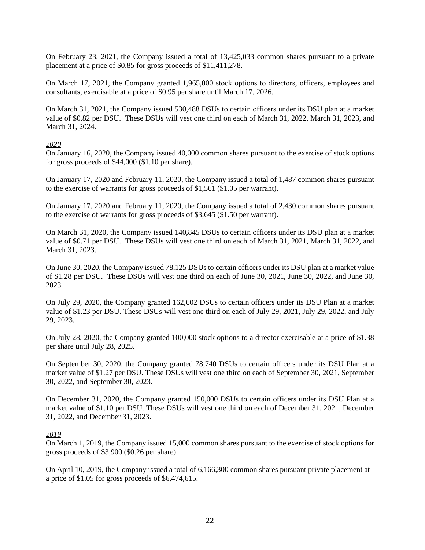On February 23, 2021, the Company issued a total of 13,425,033 common shares pursuant to a private placement at a price of \$0.85 for gross proceeds of \$11,411,278.

On March 17, 2021, the Company granted 1,965,000 stock options to directors, officers, employees and consultants, exercisable at a price of \$0.95 per share until March 17, 2026.

On March 31, 2021, the Company issued 530,488 DSUs to certain officers under its DSU plan at a market value of \$0.82 per DSU. These DSUs will vest one third on each of March 31, 2022, March 31, 2023, and March 31, 2024.

#### *2020*

On January 16, 2020, the Company issued 40,000 common shares pursuant to the exercise of stock options for gross proceeds of \$44,000 (\$1.10 per share).

On January 17, 2020 and February 11, 2020, the Company issued a total of 1,487 common shares pursuant to the exercise of warrants for gross proceeds of \$1,561 (\$1.05 per warrant).

On January 17, 2020 and February 11, 2020, the Company issued a total of 2,430 common shares pursuant to the exercise of warrants for gross proceeds of \$3,645 (\$1.50 per warrant).

On March 31, 2020, the Company issued 140,845 DSUs to certain officers under its DSU plan at a market value of \$0.71 per DSU. These DSUs will vest one third on each of March 31, 2021, March 31, 2022, and March 31, 2023.

On June 30, 2020, the Company issued 78,125 DSUs to certain officers under its DSU plan at a market value of \$1.28 per DSU. These DSUs will vest one third on each of June 30, 2021, June 30, 2022, and June 30, 2023.

On July 29, 2020, the Company granted 162,602 DSUs to certain officers under its DSU Plan at a market value of \$1.23 per DSU. These DSUs will vest one third on each of July 29, 2021, July 29, 2022, and July 29, 2023.

On July 28, 2020, the Company granted 100,000 stock options to a director exercisable at a price of \$1.38 per share until July 28, 2025.

On September 30, 2020, the Company granted 78,740 DSUs to certain officers under its DSU Plan at a market value of \$1.27 per DSU. These DSUs will vest one third on each of September 30, 2021, September 30, 2022, and September 30, 2023.

On December 31, 2020, the Company granted 150,000 DSUs to certain officers under its DSU Plan at a market value of \$1.10 per DSU. These DSUs will vest one third on each of December 31, 2021, December 31, 2022, and December 31, 2023.

#### *2019*

On March 1, 2019, the Company issued 15,000 common shares pursuant to the exercise of stock options for gross proceeds of \$3,900 (\$0.26 per share).

On April 10, 2019, the Company issued a total of 6,166,300 common shares pursuant private placement at a price of \$1.05 for gross proceeds of \$6,474,615.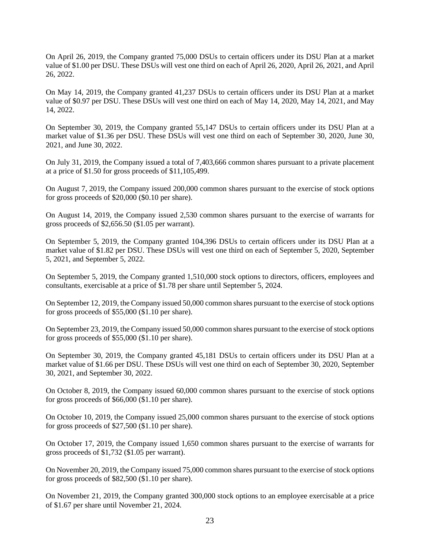On April 26, 2019, the Company granted 75,000 DSUs to certain officers under its DSU Plan at a market value of \$1.00 per DSU. These DSUs will vest one third on each of April 26, 2020, April 26, 2021, and April 26, 2022.

On May 14, 2019, the Company granted 41,237 DSUs to certain officers under its DSU Plan at a market value of \$0.97 per DSU. These DSUs will vest one third on each of May 14, 2020, May 14, 2021, and May 14, 2022.

On September 30, 2019, the Company granted 55,147 DSUs to certain officers under its DSU Plan at a market value of \$1.36 per DSU. These DSUs will vest one third on each of September 30, 2020, June 30, 2021, and June 30, 2022.

On July 31, 2019, the Company issued a total of 7,403,666 common shares pursuant to a private placement at a price of \$1.50 for gross proceeds of \$11,105,499.

On August 7, 2019, the Company issued 200,000 common shares pursuant to the exercise of stock options for gross proceeds of \$20,000 (\$0.10 per share).

On August 14, 2019, the Company issued 2,530 common shares pursuant to the exercise of warrants for gross proceeds of \$2,656.50 (\$1.05 per warrant).

On September 5, 2019, the Company granted 104,396 DSUs to certain officers under its DSU Plan at a market value of \$1.82 per DSU. These DSUs will vest one third on each of September 5, 2020, September 5, 2021, and September 5, 2022.

On September 5, 2019, the Company granted 1,510,000 stock options to directors, officers, employees and consultants, exercisable at a price of \$1.78 per share until September 5, 2024.

On September 12, 2019, the Company issued 50,000 common shares pursuant to the exercise of stock options for gross proceeds of \$55,000 (\$1.10 per share).

On September 23, 2019, the Company issued 50,000 common shares pursuant to the exercise of stock options for gross proceeds of \$55,000 (\$1.10 per share).

On September 30, 2019, the Company granted 45,181 DSUs to certain officers under its DSU Plan at a market value of \$1.66 per DSU. These DSUs will vest one third on each of September 30, 2020, September 30, 2021, and September 30, 2022.

On October 8, 2019, the Company issued 60,000 common shares pursuant to the exercise of stock options for gross proceeds of \$66,000 (\$1.10 per share).

On October 10, 2019, the Company issued 25,000 common shares pursuant to the exercise of stock options for gross proceeds of \$27,500 (\$1.10 per share).

On October 17, 2019, the Company issued 1,650 common shares pursuant to the exercise of warrants for gross proceeds of \$1,732 (\$1.05 per warrant).

On November 20, 2019, the Company issued 75,000 common shares pursuant to the exercise of stock options for gross proceeds of \$82,500 (\$1.10 per share).

On November 21, 2019, the Company granted 300,000 stock options to an employee exercisable at a price of \$1.67 per share until November 21, 2024.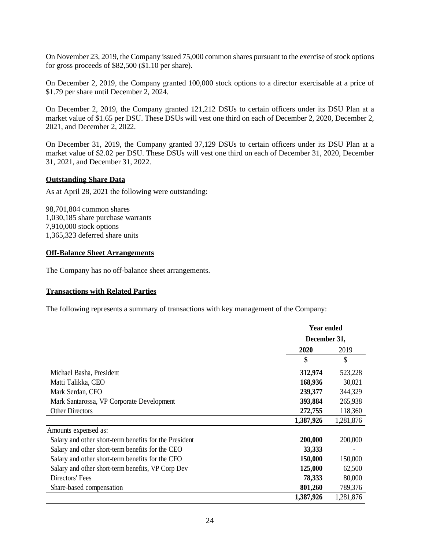On November 23, 2019, the Company issued 75,000 common shares pursuant to the exercise of stock options for gross proceeds of \$82,500 (\$1.10 per share).

On December 2, 2019, the Company granted 100,000 stock options to a director exercisable at a price of \$1.79 per share until December 2, 2024.

On December 2, 2019, the Company granted 121,212 DSUs to certain officers under its DSU Plan at a market value of \$1.65 per DSU. These DSUs will vest one third on each of December 2, 2020, December 2, 2021, and December 2, 2022.

On December 31, 2019, the Company granted 37,129 DSUs to certain officers under its DSU Plan at a market value of \$2.02 per DSU. These DSUs will vest one third on each of December 31, 2020, December 31, 2021, and December 31, 2022.

#### **Outstanding Share Data**

As at April 28, 2021 the following were outstanding:

98,701,804 common shares 1,030,185 share purchase warrants 7,910,000 stock options 1,365,323 deferred share units

#### **Off-Balance Sheet Arrangements**

The Company has no off-balance sheet arrangements.

#### **Transactions with Related Parties**

The following represents a summary of transactions with key management of the Company:

|                                                        | <b>Year ended</b> |           |
|--------------------------------------------------------|-------------------|-----------|
|                                                        | December 31,      |           |
|                                                        | 2020              | 2019      |
|                                                        | \$                | \$        |
| Michael Basha, President                               | 312,974           | 523,228   |
| Matti Talikka, CEO                                     | 168,936           | 30,021    |
| Mark Serdan, CFO                                       | 239,377           | 344,329   |
| Mark Santarossa, VP Corporate Development              | 393,884           | 265,938   |
| <b>Other Directors</b>                                 | 272,755           | 118,360   |
|                                                        | 1,387,926         | 1,281,876 |
| Amounts expensed as:                                   |                   |           |
| Salary and other short-term benefits for the President | 200,000           | 200,000   |
| Salary and other short-term benefits for the CEO       | 33,333            |           |
| Salary and other short-term benefits for the CFO       | 150,000           | 150,000   |
| Salary and other short-term benefits, VP Corp Dev      | 125,000           | 62,500    |
| Directors' Fees                                        | 78,333            | 80,000    |
| Share-based compensation                               | 801,260           | 789,376   |
|                                                        | 1,387,926         | 1,281,876 |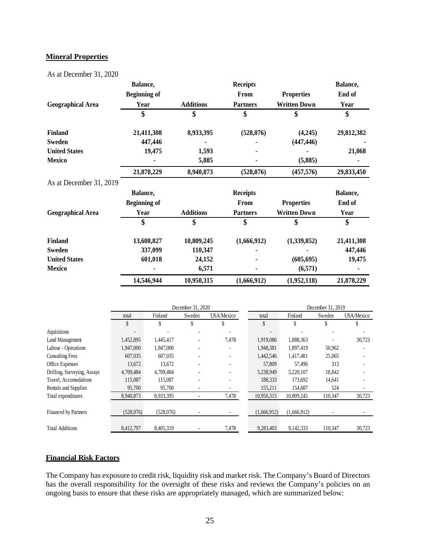#### **Mineral Properties**

As at December 31, 2020

|                          | Balance,            |                  | <b>Receipts</b> |                     | Balance,   |
|--------------------------|---------------------|------------------|-----------------|---------------------|------------|
|                          | <b>Beginning of</b> |                  | From            | <b>Properties</b>   | End of     |
| <b>Geographical Area</b> | Year                | <b>Additions</b> | <b>Partners</b> | <b>Written Down</b> | Year       |
|                          | \$                  | \$               | \$              | \$                  | \$         |
| <b>Finland</b>           | 21,411,308          | 8,933,395        | (528,076)       | (4,245)             | 29,812,382 |
| <b>Sweden</b>            | 447,446             |                  |                 | (447, 446)          |            |
| <b>United States</b>     | 19,475              | 1,593            |                 |                     | 21,068     |
| Mexico                   |                     | 5,885            |                 | (5,885)             |            |
|                          | 21,878,229          | 8,940,873        | (528,076)       | (457, 576)          | 29,833,450 |
| As at December 31, 2019  |                     |                  |                 |                     |            |
|                          |                     |                  |                 |                     |            |
|                          | Balance,            |                  | <b>Receipts</b> |                     | Balance,   |
|                          | <b>Beginning of</b> |                  | From            | <b>Properties</b>   | End of     |
| <b>Geographical Area</b> | Year                | <b>Additions</b> | <b>Partners</b> | <b>Written Down</b> | Year       |
|                          | \$                  | \$               | \$              | \$                  | \$         |
| <b>Finland</b>           | 13,608,827          | 10,809,245       | (1,666,912)     | (1,339,852)         | 21,411,308 |
| Sweden                   | 337,099             | 110,347          |                 |                     | 447,446    |
| <b>United States</b>     | 601,018             | 24,152           |                 | (605, 695)          | 19,475     |
| Mexico                   |                     | 6,571            |                 | (6, 571)            |            |
|                          | 14,546,944          | 10,950,315       | (1,666,912)     | (1,952,118)         | 21,878,229 |

|                             | December 31, 2020        |           |        |            |             | December 31, 2019 |         |            |
|-----------------------------|--------------------------|-----------|--------|------------|-------------|-------------------|---------|------------|
|                             | total                    | Finland   | Sweden | USA/Mexico | total       | Finland           | Sweden  | USA/Mexico |
|                             | \$                       | \$        |        | \$         | \$          |                   | \$      |            |
| Aquisitions                 | $\overline{\phantom{a}}$ |           |        |            |             |                   |         |            |
| Land Management             | 1,452,895                | 1,445,417 |        | 7,478      | 1,919,086   | 1,888,363         |         | 30,723     |
| Labour - Operations         | 1,947,000                | 1,947,000 |        |            | 1,948,381   | 1,897,419         | 50,962  |            |
| <b>Consulting Fees</b>      | 607,035                  | 607,035   |        |            | 1,442,546   | 1,417,481         | 25,065  |            |
| Office Expenses             | 13,672                   | 13,672    |        |            | 57,809      | 57,496            | 313     |            |
| Drilling, Surveying, Assays | 4,709,484                | 4,709,484 |        |            | 5,238,949   | 5,220,107         | 18,842  |            |
| Travel, Accomodations       | 115,087                  | 115,087   | ٠      |            | 188,333     | 173,692           | 14,641  |            |
| Rentals and Supplies        | 95,700                   | 95,700    |        |            | 155,211     | 154,687           | 524     |            |
| Total expenditures          | 8.940.873                | 8,933,395 | -      | 7,478      | 10.950.315  | 10,809,245        | 110,347 | 30,723     |
|                             |                          |           |        |            |             |                   |         |            |
| <b>Financed by Partners</b> | (528,076)                | (528,076) |        |            | (1,666,912) | (1,666,912)       |         |            |
|                             |                          |           |        |            |             |                   |         |            |
| <b>Total Additions</b>      | 8,412,797                | 8,405,319 |        | 7,478      | 9,283,403   | 9.142.333         | 110.347 | 30,723     |

#### **Financial Risk Factors**

The Company has exposure to credit risk, liquidity risk and market risk. The Company's Board of Directors has the overall responsibility for the oversight of these risks and reviews the Company's policies on an ongoing basis to ensure that these risks are appropriately managed, which are summarized below: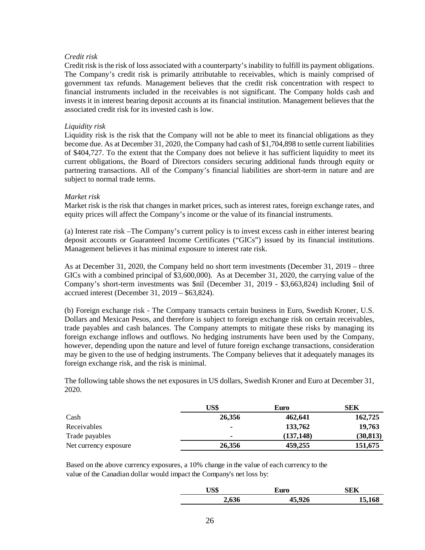# *Credit risk*

Credit risk is the risk of loss associated with a counterparty's inability to fulfill its payment obligations. The Company's credit risk is primarily attributable to receivables, which is mainly comprised of government tax refunds. Management believes that the credit risk concentration with respect to financial instruments included in the receivables is not significant. The Company holds cash and invests it in interest bearing deposit accounts at its financial institution. Management believes that the associated credit risk for its invested cash is low.

# *Liquidity risk*

Liquidity risk is the risk that the Company will not be able to meet its financial obligations as they become due. As at December 31, 2020, the Company had cash of \$1,704,898 to settle current liabilities of \$404,727. To the extent that the Company does not believe it has sufficient liquidity to meet its current obligations, the Board of Directors considers securing additional funds through equity or partnering transactions. All of the Company's financial liabilities are short-term in nature and are subject to normal trade terms.

#### *Market risk*

Market risk is the risk that changes in market prices, such as interest rates, foreign exchange rates, and equity prices will affect the Company's income or the value of its financial instruments.

(a) Interest rate risk –The Company's current policy is to invest excess cash in either interest bearing deposit accounts or Guaranteed Income Certificates ("GICs") issued by its financial institutions. Management believes it has minimal exposure to interest rate risk.

As at December 31, 2020, the Company held no short term investments (December 31, 2019 – three GICs with a combined principal of \$3,600,000). As at December 31, 2020, the carrying value of the Company's short-term investments was \$nil (December 31, 2019 - \$3,663,824) including \$nil of accrued interest (December 31, 2019 – \$63,824).

(b) Foreign exchange risk - The Company transacts certain business in Euro, Swedish Kroner, U.S. Dollars and Mexican Pesos, and therefore is subject to foreign exchange risk on certain receivables, trade payables and cash balances. The Company attempts to mitigate these risks by managing its foreign exchange inflows and outflows. No hedging instruments have been used by the Company, however, depending upon the nature and level of future foreign exchange transactions, consideration may be given to the use of hedging instruments. The Company believes that it adequately manages its foreign exchange risk, and the risk is minimal.

The following table shows the net exposures in US dollars, Swedish Kroner and Euro at December 31, 2020.

|                       | US\$           | Euro      | SEK       |
|-----------------------|----------------|-----------|-----------|
| Cash                  | 26,356         | 462,641   | 162,725   |
| Receivables           | $\blacksquare$ | 133,762   | 19,763    |
| Trade payables        | $\blacksquare$ | (137.148) | (30, 813) |
| Net currency exposure | 26,356         | 459,255   | 151,675   |

Based on the above currency exposures, a 10% change in the value of each currency to the value of the Canadian dollar would impact the Company's net loss by:

| JS\$  | Euro   | SEK    |
|-------|--------|--------|
| 2,636 | 45,926 | 15,168 |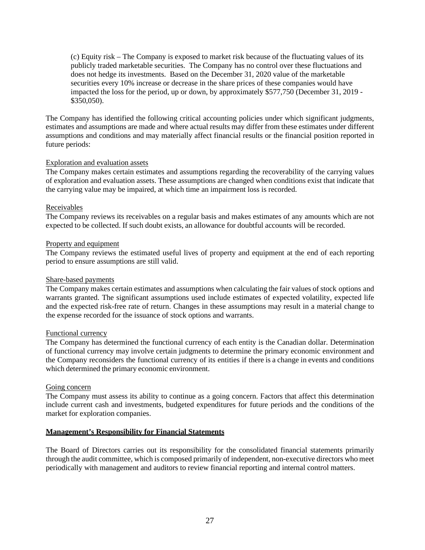(c) Equity risk – The Company is exposed to market risk because of the fluctuating values of its publicly traded marketable securities. The Company has no control over these fluctuations and does not hedge its investments. Based on the December 31, 2020 value of the marketable securities every 10% increase or decrease in the share prices of these companies would have impacted the loss for the period, up or down, by approximately \$577,750 (December 31, 2019 - \$350,050).

The Company has identified the following critical accounting policies under which significant judgments, estimates and assumptions are made and where actual results may differ from these estimates under different assumptions and conditions and may materially affect financial results or the financial position reported in future periods:

# Exploration and evaluation assets

The Company makes certain estimates and assumptions regarding the recoverability of the carrying values of exploration and evaluation assets. These assumptions are changed when conditions exist that indicate that the carrying value may be impaired, at which time an impairment loss is recorded.

#### Receivables

The Company reviews its receivables on a regular basis and makes estimates of any amounts which are not expected to be collected. If such doubt exists, an allowance for doubtful accounts will be recorded.

#### Property and equipment

The Company reviews the estimated useful lives of property and equipment at the end of each reporting period to ensure assumptions are still valid.

#### Share-based payments

The Company makes certain estimates and assumptions when calculating the fair values of stock options and warrants granted. The significant assumptions used include estimates of expected volatility, expected life and the expected risk-free rate of return. Changes in these assumptions may result in a material change to the expense recorded for the issuance of stock options and warrants.

#### Functional currency

The Company has determined the functional currency of each entity is the Canadian dollar. Determination of functional currency may involve certain judgments to determine the primary economic environment and the Company reconsiders the functional currency of its entities if there is a change in events and conditions which determined the primary economic environment.

#### Going concern

The Company must assess its ability to continue as a going concern. Factors that affect this determination include current cash and investments, budgeted expenditures for future periods and the conditions of the market for exploration companies.

# **Management's Responsibility for Financial Statements**

The Board of Directors carries out its responsibility for the consolidated financial statements primarily through the audit committee, which is composed primarily of independent, non-executive directors who meet periodically with management and auditors to review financial reporting and internal control matters.